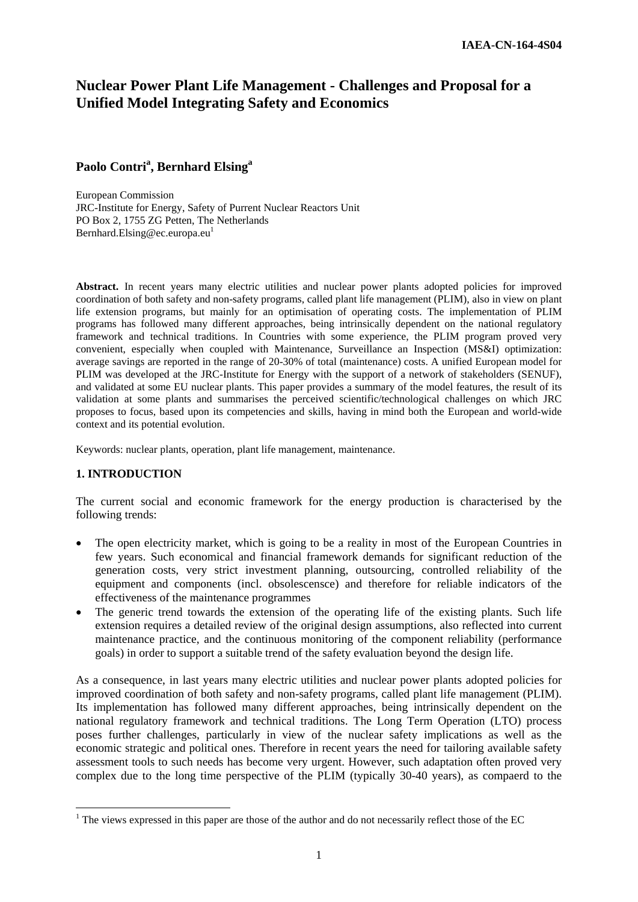# **Nuclear Power Plant Life Management - Challenges and Proposal for a Unified Model Integrating Safety and Economics**

## **Paolo Contri<sup>a</sup> , Bernhard Elsing<sup>a</sup>**

European Commission JRC-Institute for Energy, Safety of Purrent Nuclear Reactors Unit PO Box 2, 1755 ZG Petten, The Netherlands Bernhard.Elsing@ec.europa.eu<sup>1</sup>

Abstract. In recent years many electric utilities and nuclear power plants adopted policies for improved coordination of both safety and non-safety programs, called plant life management (PLIM), also in view on plant life extension programs, but mainly for an optimisation of operating costs. The implementation of PLIM programs has followed many different approaches, being intrinsically dependent on the national regulatory framework and technical traditions. In Countries with some experience, the PLIM program proved very convenient, especially when coupled with Maintenance, Surveillance an Inspection (MS&I) optimization: average savings are reported in the range of 20-30% of total (maintenance) costs. A unified European model for PLIM was developed at the JRC-Institute for Energy with the support of a network of stakeholders (SENUF), and validated at some EU nuclear plants. This paper provides a summary of the model features, the result of its validation at some plants and summarises the perceived scientific/technological challenges on which JRC proposes to focus, based upon its competencies and skills, having in mind both the European and world-wide context and its potential evolution.

Keywords: nuclear plants, operation, plant life management, maintenance.

## **1. INTRODUCTION**

1

The current social and economic framework for the energy production is characterised by the following trends:

- The open electricity market, which is going to be a reality in most of the European Countries in few years. Such economical and financial framework demands for significant reduction of the generation costs, very strict investment planning, outsourcing, controlled reliability of the equipment and components (incl. obsolescensce) and therefore for reliable indicators of the effectiveness of the maintenance programmes
- The generic trend towards the extension of the operating life of the existing plants. Such life extension requires a detailed review of the original design assumptions, also reflected into current maintenance practice, and the continuous monitoring of the component reliability (performance goals) in order to support a suitable trend of the safety evaluation beyond the design life.

As a consequence, in last years many electric utilities and nuclear power plants adopted policies for improved coordination of both safety and non-safety programs, called plant life management (PLIM). Its implementation has followed many different approaches, being intrinsically dependent on the national regulatory framework and technical traditions. The Long Term Operation (LTO) process poses further challenges, particularly in view of the nuclear safety implications as well as the economic strategic and political ones. Therefore in recent years the need for tailoring available safety assessment tools to such needs has become very urgent. However, such adaptation often proved very complex due to the long time perspective of the PLIM (typically 30-40 years), as compaerd to the

 $<sup>1</sup>$  The views expressed in this paper are those of the author and do not necessarily reflect those of the EC</sup>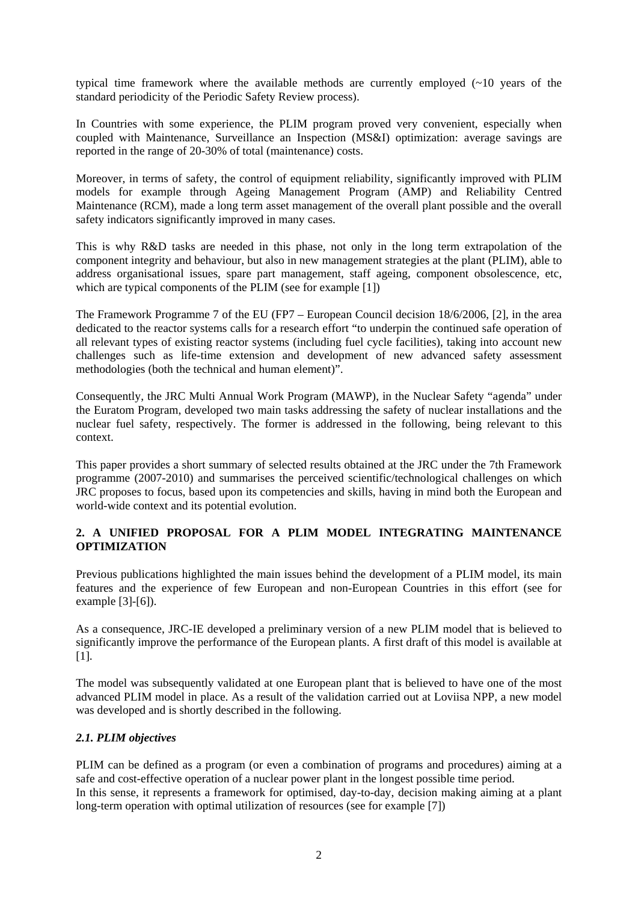typical time framework where the available methods are currently employed (~10 years of the standard periodicity of the Periodic Safety Review process).

In Countries with some experience, the PLIM program proved very convenient, especially when coupled with Maintenance, Surveillance an Inspection (MS&I) optimization: average savings are reported in the range of 20-30% of total (maintenance) costs.

Moreover, in terms of safety, the control of equipment reliability, significantly improved with PLIM models for example through Ageing Management Program (AMP) and Reliability Centred Maintenance (RCM), made a long term asset management of the overall plant possible and the overall safety indicators significantly improved in many cases.

This is why R&D tasks are needed in this phase, not only in the long term extrapolation of the component integrity and behaviour, but also in new management strategies at the plant (PLIM), able to address organisational issues, spare part management, staff ageing, component obsolescence, etc, which are typical components of the PLIM (see for example [1])

The Framework Programme 7 of the EU (FP7 – European Council decision 18/6/2006, [2], in the area dedicated to the reactor systems calls for a research effort "to underpin the continued safe operation of all relevant types of existing reactor systems (including fuel cycle facilities), taking into account new challenges such as life-time extension and development of new advanced safety assessment methodologies (both the technical and human element)".

Consequently, the JRC Multi Annual Work Program (MAWP), in the Nuclear Safety "agenda" under the Euratom Program, developed two main tasks addressing the safety of nuclear installations and the nuclear fuel safety, respectively. The former is addressed in the following, being relevant to this context.

This paper provides a short summary of selected results obtained at the JRC under the 7th Framework programme (2007-2010) and summarises the perceived scientific/technological challenges on which JRC proposes to focus, based upon its competencies and skills, having in mind both the European and world-wide context and its potential evolution.

## **2. A UNIFIED PROPOSAL FOR A PLIM MODEL INTEGRATING MAINTENANCE OPTIMIZATION**

Previous publications highlighted the main issues behind the development of a PLIM model, its main features and the experience of few European and non-European Countries in this effort (see for example [3]-[6]).

As a consequence, JRC-IE developed a preliminary version of a new PLIM model that is believed to significantly improve the performance of the European plants. A first draft of this model is available at [1].

The model was subsequently validated at one European plant that is believed to have one of the most advanced PLIM model in place. As a result of the validation carried out at Loviisa NPP, a new model was developed and is shortly described in the following.

## *2.1. PLIM objectives*

PLIM can be defined as a program (or even a combination of programs and procedures) aiming at a safe and cost-effective operation of a nuclear power plant in the longest possible time period. In this sense, it represents a framework for optimised, day-to-day, decision making aiming at a plant long-term operation with optimal utilization of resources (see for example [7])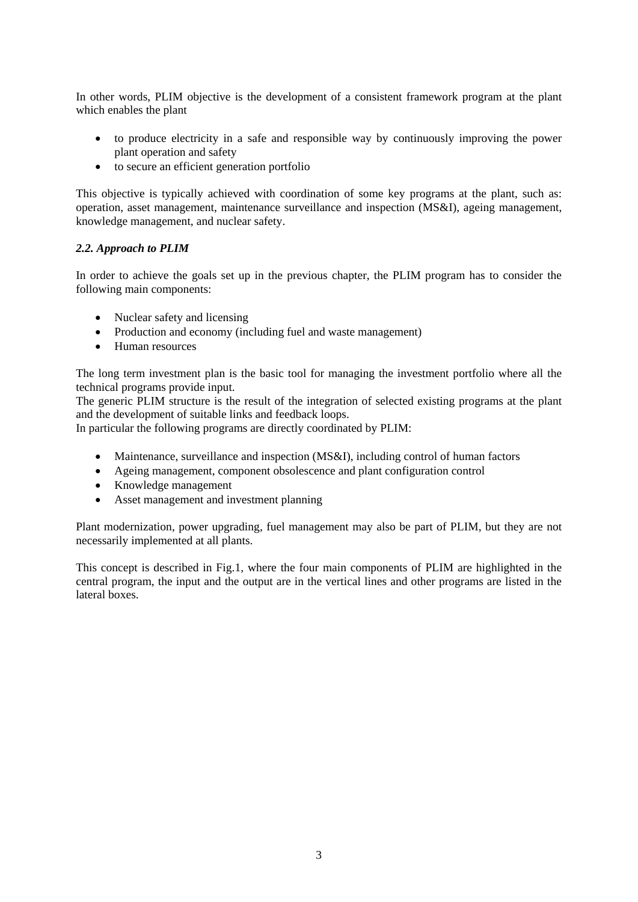In other words, PLIM objective is the development of a consistent framework program at the plant which enables the plant

- to produce electricity in a safe and responsible way by continuously improving the power plant operation and safety
- to secure an efficient generation portfolio

This objective is typically achieved with coordination of some key programs at the plant, such as: operation, asset management, maintenance surveillance and inspection (MS&I), ageing management, knowledge management, and nuclear safety.

#### *2.2. Approach to PLIM*

In order to achieve the goals set up in the previous chapter, the PLIM program has to consider the following main components:

- Nuclear safety and licensing
- Production and economy (including fuel and waste management)
- Human resources

The long term investment plan is the basic tool for managing the investment portfolio where all the technical programs provide input.

The generic PLIM structure is the result of the integration of selected existing programs at the plant and the development of suitable links and feedback loops.

In particular the following programs are directly coordinated by PLIM:

- Maintenance, surveillance and inspection (MS&I), including control of human factors
- Ageing management, component obsolescence and plant configuration control
- Knowledge management
- Asset management and investment planning

Plant modernization, power upgrading, fuel management may also be part of PLIM, but they are not necessarily implemented at all plants.

This concept is described in Fig.1, where the four main components of PLIM are highlighted in the central program, the input and the output are in the vertical lines and other programs are listed in the lateral boxes.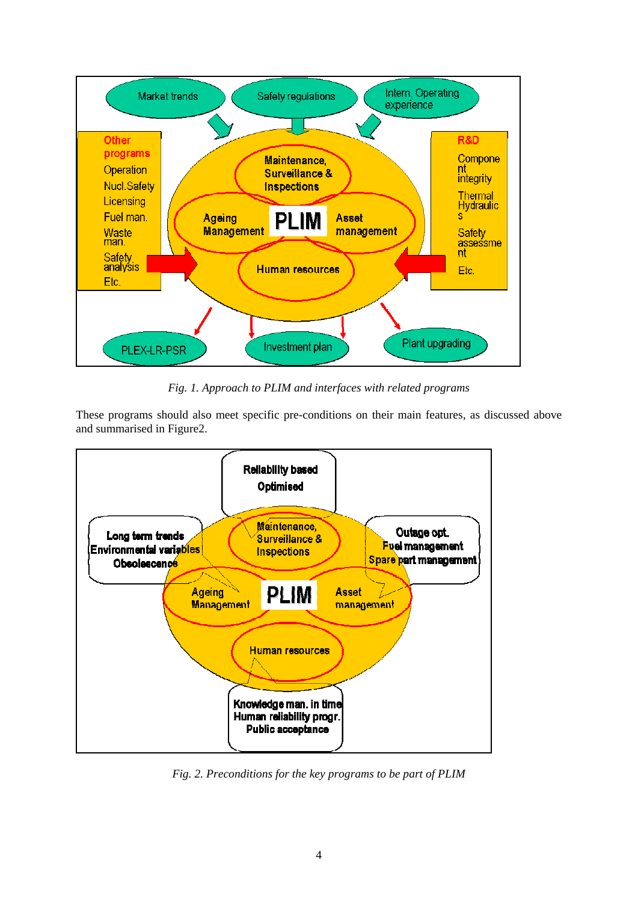

*Fig. 1. Approach to PLIM and interfaces with related programs* 

These programs should also meet specific pre-conditions on their main features, as discussed above and summarised in Figure2.



*Fig. 2. Preconditions for the key programs to be part of PLIM*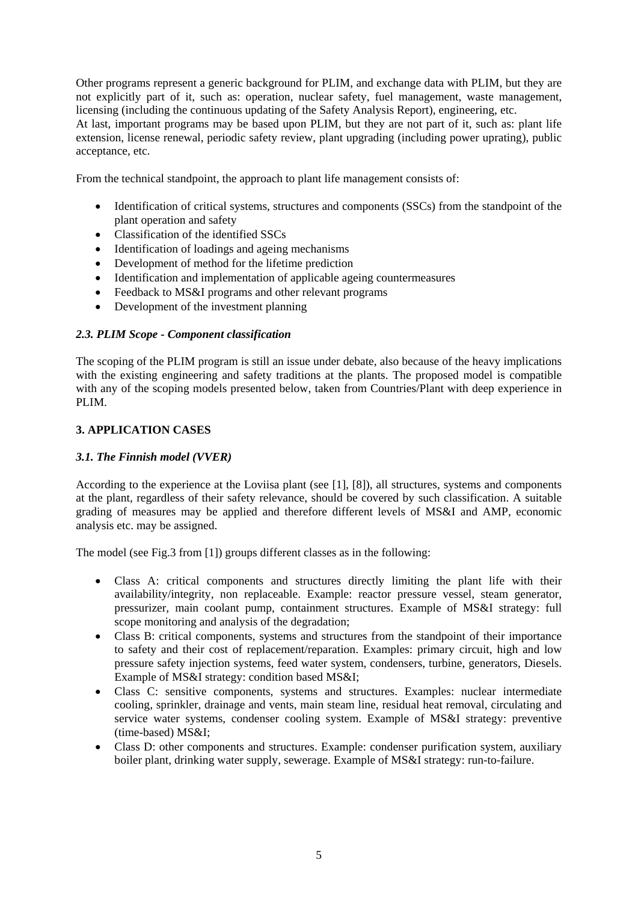Other programs represent a generic background for PLIM, and exchange data with PLIM, but they are not explicitly part of it, such as: operation, nuclear safety, fuel management, waste management, licensing (including the continuous updating of the Safety Analysis Report), engineering, etc.

At last, important programs may be based upon PLIM, but they are not part of it, such as: plant life extension, license renewal, periodic safety review, plant upgrading (including power uprating), public acceptance, etc.

From the technical standpoint, the approach to plant life management consists of:

- Identification of critical systems, structures and components (SSCs) from the standpoint of the plant operation and safety
- Classification of the identified SSCs
- Identification of loadings and ageing mechanisms
- Development of method for the lifetime prediction
- Identification and implementation of applicable ageing countermeasures
- Feedback to MS&I programs and other relevant programs
- Development of the investment planning

#### *2.3. PLIM Scope - Component classification*

The scoping of the PLIM program is still an issue under debate, also because of the heavy implications with the existing engineering and safety traditions at the plants. The proposed model is compatible with any of the scoping models presented below, taken from Countries/Plant with deep experience in PLIM.

#### **3. APPLICATION CASES**

#### *3.1. The Finnish model (VVER)*

According to the experience at the Loviisa plant (see [1], [8]), all structures, systems and components at the plant, regardless of their safety relevance, should be covered by such classification. A suitable grading of measures may be applied and therefore different levels of MS&I and AMP, economic analysis etc. may be assigned.

The model (see Fig.3 from [1]) groups different classes as in the following:

- Class A: critical components and structures directly limiting the plant life with their availability/integrity, non replaceable. Example: reactor pressure vessel, steam generator, pressurizer, main coolant pump, containment structures. Example of MS&I strategy: full scope monitoring and analysis of the degradation;
- Class B: critical components, systems and structures from the standpoint of their importance to safety and their cost of replacement/reparation. Examples: primary circuit, high and low pressure safety injection systems, feed water system, condensers, turbine, generators, Diesels. Example of MS&I strategy: condition based MS&I;
- Class C: sensitive components, systems and structures. Examples: nuclear intermediate cooling, sprinkler, drainage and vents, main steam line, residual heat removal, circulating and service water systems, condenser cooling system. Example of MS&I strategy: preventive (time-based) MS&I;
- Class D: other components and structures. Example: condenser purification system, auxiliary boiler plant, drinking water supply, sewerage. Example of MS&I strategy: run-to-failure.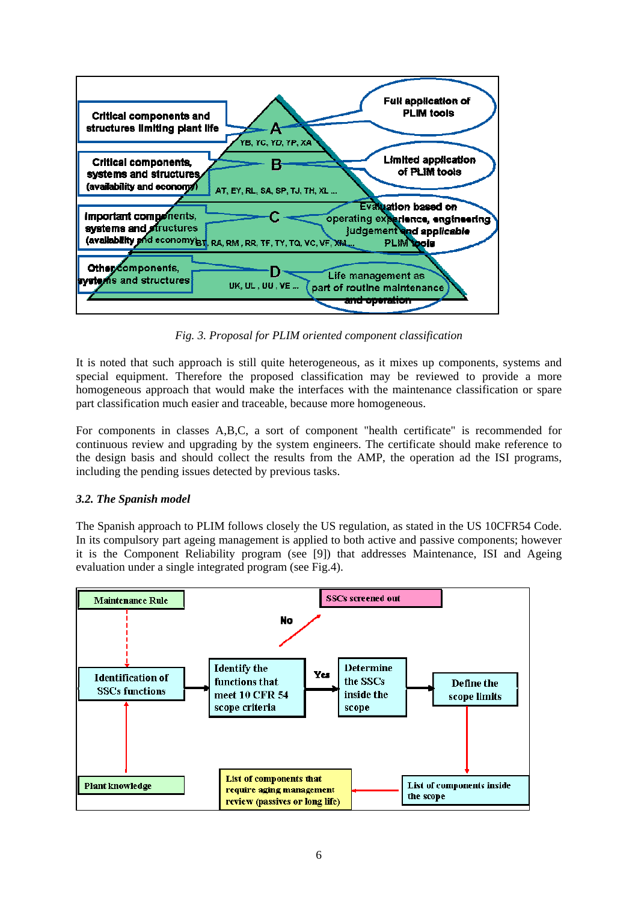

*Fig. 3. Proposal for PLIM oriented component classification* 

It is noted that such approach is still quite heterogeneous, as it mixes up components, systems and special equipment. Therefore the proposed classification may be reviewed to provide a more homogeneous approach that would make the interfaces with the maintenance classification or spare part classification much easier and traceable, because more homogeneous.

For components in classes A,B,C, a sort of component "health certificate" is recommended for continuous review and upgrading by the system engineers. The certificate should make reference to the design basis and should collect the results from the AMP, the operation ad the ISI programs, including the pending issues detected by previous tasks.

## *3.2. The Spanish model*

The Spanish approach to PLIM follows closely the US regulation, as stated in the US 10CFR54 Code. In its compulsory part ageing management is applied to both active and passive components; however it is the Component Reliability program (see [9]) that addresses Maintenance, ISI and Ageing evaluation under a single integrated program (see Fig.4).

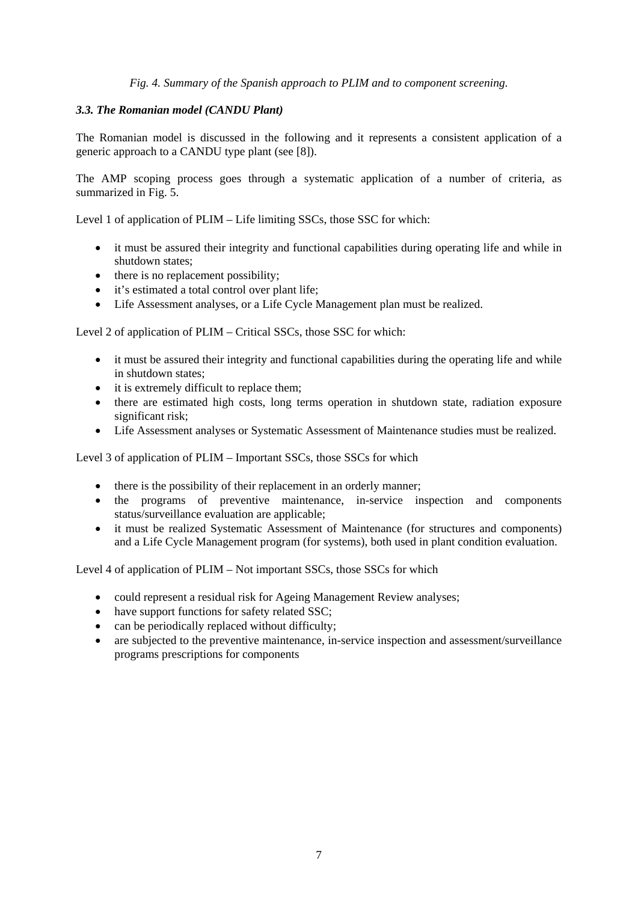*Fig. 4. Summary of the Spanish approach to PLIM and to component screening.* 

#### *3.3. The Romanian model (CANDU Plant)*

The Romanian model is discussed in the following and it represents a consistent application of a generic approach to a CANDU type plant (see [8]).

The AMP scoping process goes through a systematic application of a number of criteria, as summarized in Fig. 5.

Level 1 of application of PLIM – Life limiting SSCs, those SSC for which:

- it must be assured their integrity and functional capabilities during operating life and while in shutdown states;
- there is no replacement possibility;
- it's estimated a total control over plant life;
- Life Assessment analyses, or a Life Cycle Management plan must be realized.

Level 2 of application of PLIM – Critical SSCs, those SSC for which:

- it must be assured their integrity and functional capabilities during the operating life and while in shutdown states;
- it is extremely difficult to replace them;
- there are estimated high costs, long terms operation in shutdown state, radiation exposure significant risk;
- Life Assessment analyses or Systematic Assessment of Maintenance studies must be realized.

Level 3 of application of PLIM – Important SSCs, those SSCs for which

- there is the possibility of their replacement in an orderly manner;
- the programs of preventive maintenance, in-service inspection and components status/surveillance evaluation are applicable;
- it must be realized Systematic Assessment of Maintenance (for structures and components) and a Life Cycle Management program (for systems), both used in plant condition evaluation.

Level 4 of application of PLIM – Not important SSCs, those SSCs for which

- could represent a residual risk for Ageing Management Review analyses;
- have support functions for safety related SSC;
- can be periodically replaced without difficulty;
- are subjected to the preventive maintenance, in-service inspection and assessment/surveillance programs prescriptions for components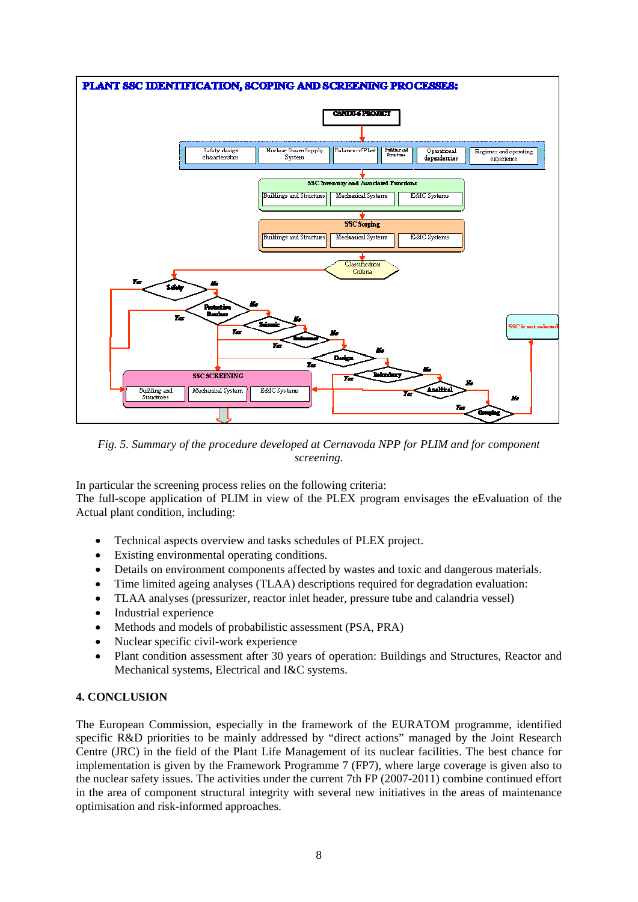

*Fig. 5. Summary of the procedure developed at Cernavoda NPP for PLIM and for component screening.* 

In particular the screening process relies on the following criteria:

The full-scope application of PLIM in view of the PLEX program envisages the eEvaluation of the Actual plant condition, including:

- Technical aspects overview and tasks schedules of PLEX project.
- Existing environmental operating conditions.
- Details on environment components affected by wastes and toxic and dangerous materials.
- Time limited ageing analyses (TLAA) descriptions required for degradation evaluation:
- TLAA analyses (pressurizer, reactor inlet header, pressure tube and calandria vessel)
- Industrial experience
- Methods and models of probabilistic assessment (PSA, PRA)
- Nuclear specific civil-work experience
- Plant condition assessment after 30 years of operation: Buildings and Structures, Reactor and Mechanical systems, Electrical and I&C systems.

## **4. CONCLUSION**

The European Commission, especially in the framework of the EURATOM programme, identified specific R&D priorities to be mainly addressed by "direct actions" managed by the Joint Research Centre (JRC) in the field of the Plant Life Management of its nuclear facilities. The best chance for implementation is given by the Framework Programme 7 (FP7), where large coverage is given also to the nuclear safety issues. The activities under the current 7th FP (2007-2011) combine continued effort in the area of component structural integrity with several new initiatives in the areas of maintenance optimisation and risk-informed approaches.